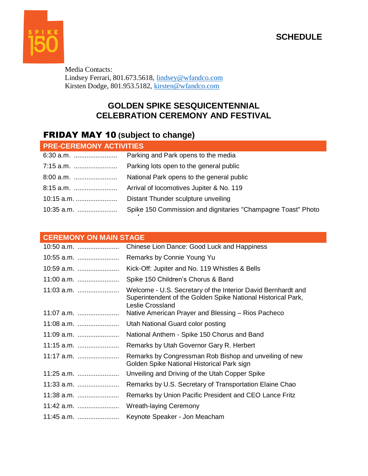

Media Contacts: Lindsey Ferrari, 801.673.5618, [lindsey@wfandco.com](mailto:lindsey@wfandco.com) Kirsten Dodge, 801.953.5182, [kirsten@wfandco.com](mailto:kirsten@wfandco.com)

### **GOLDEN SPIKE SESQUICENTENNIAL CELEBRATION CEREMONY AND FESTIVAL**

## FRIDAY MAY 10 **(subject to change)**

| <b>PRE-CEREMONY ACTIVITIES</b> |                                                              |  |
|--------------------------------|--------------------------------------------------------------|--|
|                                | Parking and Park opens to the media                          |  |
| 7:15 a.m.                      | Parking lots open to the general public                      |  |
|                                | National Park opens to the general public                    |  |
| 8:15 a.m.                      | Arrival of locomotives Jupiter & No. 119                     |  |
| 10:15 a.m.                     | Distant Thunder sculpture unveiling                          |  |
|                                | Spike 150 Commission and dignitaries "Champagne Toast" Photo |  |

#### **CEREMONY ON MAIN STAGE**

| 10:50 a.m. | Chinese Lion Dance: Good Luck and Happiness                                                                                                      |
|------------|--------------------------------------------------------------------------------------------------------------------------------------------------|
| 10:55 a.m. | Remarks by Connie Young Yu                                                                                                                       |
| 10:59 a.m. | Kick-Off: Jupiter and No. 119 Whistles & Bells                                                                                                   |
| 11:00 a.m. | Spike 150 Children's Chorus & Band                                                                                                               |
| 11:03 a.m. | Welcome - U.S. Secretary of the Interior David Bernhardt and<br>Superintendent of the Golden Spike National Historical Park,<br>Leslie Crossland |
| 11:07 a.m. | Native American Prayer and Blessing – Rios Pacheco                                                                                               |
| 11:08 a.m. | Utah National Guard color posting                                                                                                                |
| 11:09 a.m. | National Anthem - Spike 150 Chorus and Band                                                                                                      |
| 11:15 a.m. | Remarks by Utah Governor Gary R. Herbert                                                                                                         |
| 11:17 a.m. | Remarks by Congressman Rob Bishop and unveiling of new<br>Golden Spike National Historical Park sign                                             |
| 11:25 a.m. | Unveiling and Driving of the Utah Copper Spike                                                                                                   |
| 11:33 a.m. | Remarks by U.S. Secretary of Transportation Elaine Chao                                                                                          |
| 11:38 a.m. | Remarks by Union Pacific President and CEO Lance Fritz                                                                                           |
| 11:42 a.m. | <b>Wreath-laying Ceremony</b>                                                                                                                    |
| 11:45 a.m. | Keynote Speaker - Jon Meacham                                                                                                                    |